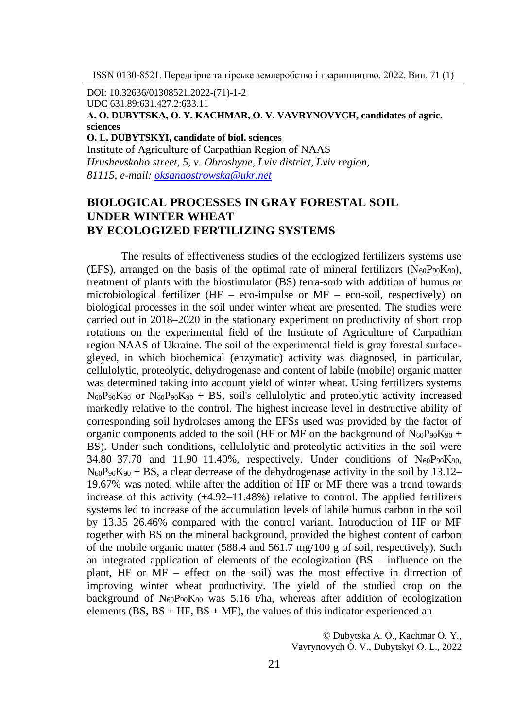DOI: 10.32636/01308521.2022-(71)-1-2 UDC 631.89:631.427.2:633.11 **А. О. DUBYTSKA, О. Y. KACHMAR, О. V. VAVRYNOVYCH, candidates of agric. sciences О. L. DUBYTSKYI, candidate of biol. sciences**

Institute of Agriculture of Carpathian Region of NAAS *Hrushevskoho street, 5, v. Оbroshyne, Lviv district, Lviv region, 81115, e-mail[: oksanaostrowska@ukr.net](mailto:oksanaostrowska@ukr.net)*

## **BIOLOGICAL PROCESSES IN GRAY FORESTAL SOIL UNDER WINTER WHEAT BY ECOLOGIZED FERTILIZING SYSTEMS**

The results of effectiveness studies of the ecologized fertilizers systems use (EFS), arranged on the basis of the optimal rate of mineral fertilizers  $(N_{60}P_{90}K_{90})$ , treatment of plants with the biostimulator (BS) terra-sorb with addition of humus or microbiological fertilizer (HF – eco-impulse or  $MF$  – eco-soil, respectively) on biological processes in the soil under winter wheat are presented. The studies were carried out in 2018–2020 in the stationary experiment on productivity of short crop rotations on the experimental field of the Institute of Agriculture of Carpathian region NAAS of Ukraine. The soil of the experimental field is gray forestal surfacegleyed, in which biochemical (enzymatic) activity was diagnosed, in particular, cellulolytic, proteolytic, dehydrogenase and content of labile (mobile) organic matter was determined taking into account yield of winter wheat. Using fertilizers systems  $N_{60}P_{90}K_{90}$  or  $N_{60}P_{90}K_{90}$  + BS, soil's cellulolytic and proteolytic activity increased markedly relative to the control. The highest increase level in destructive ability of corresponding soil hydrolases among the EFSs used was provided by the factor of organic components added to the soil (HF or MF on the background of  $N_{60}P_{90}K_{90}$  + BS). Under such conditions, cellulolytic and proteolytic activities in the soil were 34.80–37.70 and 11.90–11.40%, respectively. Under conditions of  $N_{60}P_{90}K_{90}$ ,  $N_{60}P_{90}K_{90} + BS$ , a clear decrease of the dehydrogenase activity in the soil by 13.12– 19.67% was noted, while after the addition of HF or MF there was a trend towards increase of this activity (+4.92–11.48%) relative to control. The applied fertilizers systems led to increase of the accumulation levels of labile humus carbon in the soil by 13.35–26.46% compared with the control variant. Introduction of HF or MF together with BS on the mineral background, provided the highest content of carbon of the mobile organic matter (588.4 and 561.7 mg/100 g of soil, respectively). Such an integrated application of elements of the ecologization (BS – influence on the plant, HF or MF – effect on the soil) was the most effective in dirrection of improving winter wheat productivity. The yield of the studied crop on the background of  $N_{60}P_{90}K_{90}$  was 5.16 t/ha, whereas after addition of ecologization elements ( $BS. BS + HF. BS + MF$ ), the values of this indicator experienced an

> © Dubytska А. О., Kachmar О. Y., Vavrynovych О. V., Dubytskyi О. L., 2022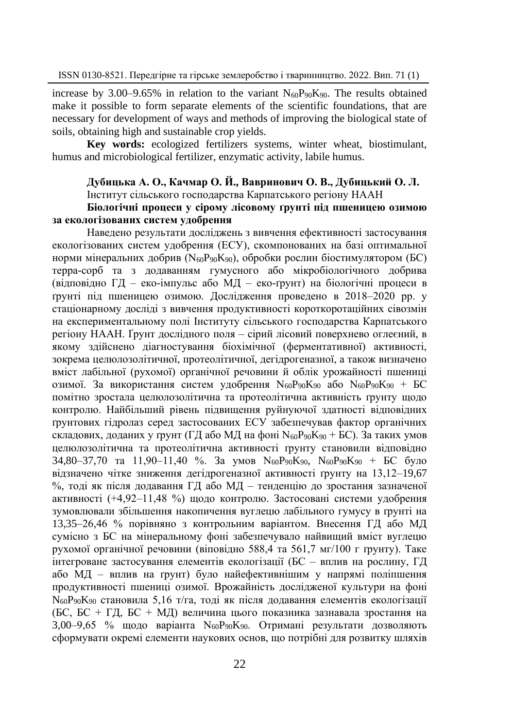increase by 3.00–9.65% in relation to the variant  $N_{60}P_{90}K_{90}$ . The results obtained make it possible to form separate elements of the scientific foundations, that are necessary for development of ways and methods of improving the biological state of soils, obtaining high and sustainable crop yields.

**Key words:** ecologized fertilizers systems, winter wheat, biostimulant, humus and microbiological fertilizer, enzymatic activity, labile humus.

# **Дубицька А. О., Качмар О. Й., Вавринович О. В., Дубицький О. Л.**

Інститут сільського господарства Карпатського регіону НААН

### **Біологічні процеси у сірому лісовому ґрунті під пшеницею озимою за екологізованих систем удобрення**

Наведено результати досліджень з вивчення ефективності застосування екологізованих систем удобрення (ЕСУ), скомпонованих на базі оптимальної норми мінеральних добрив (N60P90K90), обробки рослин біостимулятором (БС) терра-сорб та з додаванням гумусного або мікробіологічного добрива (відповідно ГД – еко-імпульс або MД – еко-ґрунт) на біологічні процеси в ґрунті під пшеницею озимою. Дослідження проведено в 2018–2020 рр. у стаціонарному досліді з вивчення продуктивності короткоротаційних сівозмін на експериментальному полі Інституту сільського господарства Карпатського регіону НААН. Ґрунт дослідного поля – сірий лісовий поверхнево оглеєний, в якому здійснено діагностування біохімічної (ферментативної) активності, зокрема целюлозолітичної, протеолітичної, дегідрогеназної, а також визначено вміст лабільної (рухомої) органічної речовини й облік урожайності пшениці озимої. За використання систем удобрення N60P90K<sup>90</sup> або N60P90K<sup>90</sup> + БС помітно зростала целюлозолітична та протеолітична активність ґрунту щодо контролю. Найбільший рівень підвищення руйнуючої здатності відповідних ґрунтових гідролаз серед застосованих ЕСУ забезпечував фактор органічних складових, доданих у ґрунт (ГД або МД на фоні  $N_{60}P_{90}K_{90} + BC$ ). За таких умов целюлозолітична та протеолітична активності ґрунту становили відповідно  $34,80-37,70$  та 11,90-11,40 %. За умов  $N_{60}P_{90}K_{90}$ ,  $N_{60}P_{90}K_{90}$  + БС було відзначено чітке зниження дегідрогеназної активності ґрунту на 13,12–19,67 %, тоді як після додавання ГД або MД – тенденцію до зростання зазначеної активності (+4,92–11,48 %) щодо контролю. Застосовані системи удобрення зумовлювали збільшення накопичення вуглецю лабільного гумусу в ґрунті на 13,35–26,46 % порівняно з контрольним варіантом. Внесення ГД або MД сумісно з БС на мінеральному фоні забезпечувало найвищий вміст вуглецю рухомої органічної речовини (віповідно 588,4 та 561,7 мг/100 г ґрунту). Таке інтегроване застосування елементів екологізації (БС – вплив на рослину, ГД або MД – вплив на ґрунт) було найефективнішим у напрямі поліпшення продуктивності пшениці озимої. Врожайність дослідженої культури на фоні N<sub>60</sub>P<sub>90</sub>K<sub>90</sub> становила 5,16 т/га, тоді як після додавання елементів екологізації (БС, БС + ГД, БС + MД) величина цього показника зазнавала зростання на 3,00–9,65 % щодо варіанта N<sub>60</sub>P<sub>90</sub>K<sub>90</sub>. Отримані результати дозволяють сформувати окремі елементи наукових основ, що потрібні для розвитку шляхів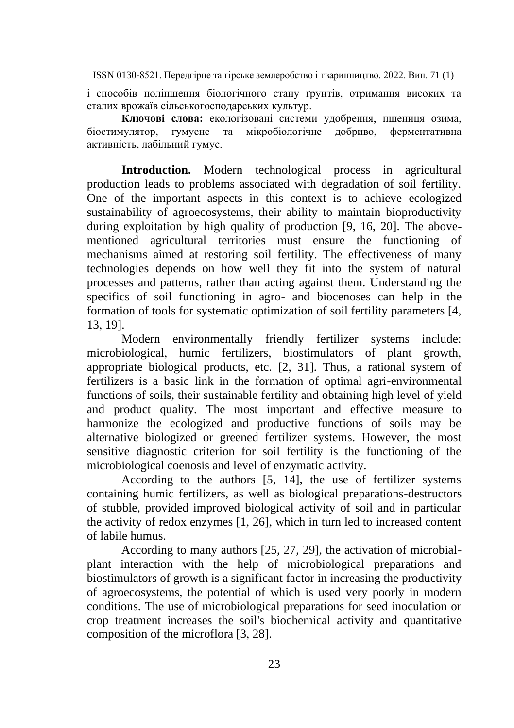і способів поліпшення біологічного стану ґрунтів, отримання високих та сталих врожаїв сільськогосподарських культур.

**Ключові слова:** екологізовані системи удобрення, пшениця озима, біостимулятор, гумусне та мікробіологічне добриво, ферментативна активність, лабільний гумус.

**Introduction.** Modern technological process in agricultural production leads to problems associated with degradation of soil fertility. One of the important aspects in this context is to achieve ecologized sustainability of agroecosystems, their ability to maintain bioproductivity during exploitation by high quality of production [9, 16, 20]. The abovementioned agricultural territories must ensure the functioning of mechanisms aimed at restoring soil fertility. The effectiveness of many technologies depends on how well they fit into the system of natural processes and patterns, rather than acting against them. Understanding the specifics of soil functioning in agro- and biocenoses can help in the formation of tools for systematic optimization of soil fertility parameters [4, 13, 19].

Modern environmentally friendly fertilizer systems include: microbiological, humic fertilizers, biostimulators of plant growth, appropriate biological products, etc. [2, 31]. Thus, a rational system of fertilizers is a basic link in the formation of optimal agri-environmental functions of soils, their sustainable fertility and obtaining high level of yield and product quality. The most important and effective measure to harmonize the ecologized and productive functions of soils may be alternative biologized or greened fertilizer systems. However, the most sensitive diagnostic criterion for soil fertility is the functioning of the microbiological coenosis and level of enzymatic activity.

According to the authors [5, 14], the use of fertilizer systems containing humic fertilizers, as well as biological preparations-destructors of stubble, provided improved biological activity of soil and in particular the activity of redox enzymes [1, 26], which in turn led to increased content of labile humus.

According to many authors [25, 27, 29], the activation of microbialplant interaction with the help of microbiological preparations and biostimulators of growth is a significant factor in increasing the productivity of agroecosystems, the potential of which is used very poorly in modern conditions. The use of microbiological preparations for seed inoculation or crop treatment increases the soil's biochemical activity and quantitative composition of the microflora [3, 28].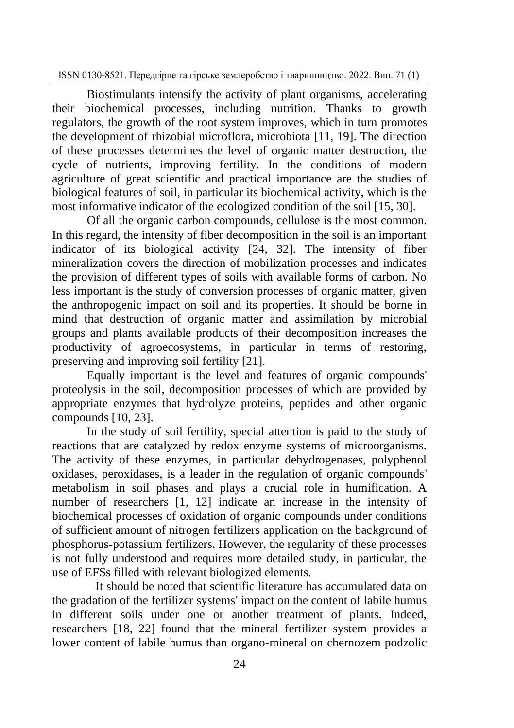Biostimulants intensify the activity of plant organisms, accelerating their biochemical processes, including nutrition. Thanks to growth regulators, the growth of the root system improves, which in turn promotes the development of rhizobial microflora, microbiota [11, 19]. The direction of these processes determines the level of organic matter destruction, the cycle of nutrients, improving fertility. In the conditions of modern agriculture of great scientific and practical importance are the studies of biological features of soil, in particular its biochemical activity, which is the most informative indicator of the ecologized condition of the soil [15, 30].

Of all the organic carbon compounds, cellulose is the most common. In this regard, the intensity of fiber decomposition in the soil is an important indicator of its biological activity [24, 32]. The intensity of fiber mineralization covers the direction of mobilization processes and indicates the provision of different types of soils with available forms of carbon. No less important is the study of conversion processes of organic matter, given the anthropogenic impact on soil and its properties. It should be borne in mind that destruction of organic matter and assimilation by microbial groups and plants available products of their decomposition increases the productivity of agroecosystems, in particular in terms of restoring, preserving and improving soil fertility [21].

Equally important is the level and features of organic compounds' proteolysis in the soil, decomposition processes of which are provided by appropriate enzymes that hydrolyze proteins, peptides and other organic compounds [10, 23].

In the study of soil fertility, special attention is paid to the study of reactions that are catalyzed by redox enzyme systems of microorganisms. The activity of these enzymes, in particular dehydrogenases, polyphenol oxidases, peroxidases, is a leader in the regulation of organic compounds' metabolism in soil phases and plays a crucial role in humification. A number of researchers [1, 12] indicate an increase in the intensity of biochemical processes of oxidation of organic compounds under conditions of sufficient amount of nitrogen fertilizers application on the background of phosphorus-potassium fertilizers. However, the regularity of these processes is not fully understood and requires more detailed study, in particular, the use of EFSs filled with relevant biologized elements.

It should be noted that scientific literature has accumulated data on the gradation of the fertilizer systems' impact on the content of labile humus in different soils under one or another treatment of plants. Indeed, researchers [18, 22] found that the mineral fertilizer system provides a lower content of labile humus than organo-mineral on chernozem podzolic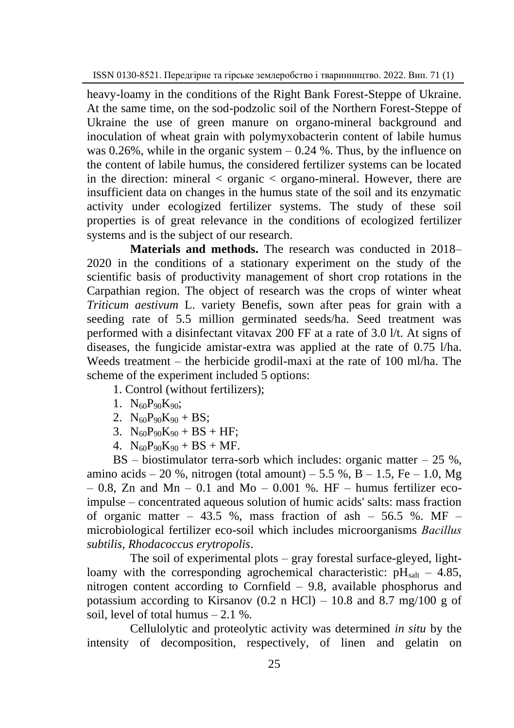heavy-loamy in the conditions of the Right Bank Forest-Steppe of Ukraine. At the same time, on the sod-podzolic soil of the Northern Forest-Steppe of Ukraine the use of green manure on organo-mineral background and inoculation of wheat grain with polymyxobacterin content of labile humus was  $0.26\%$ , while in the organic system  $-0.24\%$ . Thus, by the influence on the content of labile humus, the considered fertilizer systems can be located in the direction: mineral < organic < organo-mineral. However, there are insufficient data on changes in the humus state of the soil and its enzymatic activity under ecologized fertilizer systems. The study of these soil properties is of great relevance in the conditions of ecologized fertilizer systems and is the subject of our research.

**Materials and methods.** The research was conducted in 2018– 2020 in the conditions of a stationary experiment on the study of the scientific basis of productivity management of short crop rotations in the Carpathian region. The object of research was the crops of winter wheat *Triticum aestivum* L. variety Benefis, sown after peas for grain with a seeding rate of 5.5 million germinated seeds/ha. Seed treatment was performed with a disinfectant vitavax 200 FF at a rate of 3.0 l/t. At signs of diseases, the fungicide amistar-extra was applied at the rate of 0.75 l/ha. Weeds treatment – the herbicide grodil-maxi at the rate of 100 ml/ha. The scheme of the experiment included 5 options:

1. Control (without fertilizers);

- 1.  $N_{60}P_{90}K_{90}$ :
- 2.  $N_{60}P_{90}K_{90} + BS;$
- 3.  $N_{60}P_{90}K_{90} + BS + HF$ ;
- 4.  $N_{60}P_{90}K_{90} + BS + MF$ .

 $BS - biostimulator$  terra-sorb which includes: organic matter  $-25\%$ . amino acids – 20 %, nitrogen (total amount) – 5.5 %, B – 1.5, Fe – 1.0, Mg  $-0.8$ , Zn and Mn – 0.1 and Mo – 0.001 %. HF – humus fertilizer ecoimpulse – concentrated aqueous solution of humic acids' salts: mass fraction of organic matter – 43.5 %, mass fraction of ash – 56.5 %. MF – microbiological fertilizer eco-soil which includes microorganisms *Baсillus subtilis*, *Rhodacoccus erytropolis*.

The soil of experimental plots – gray forestal surface-gleyed, lightloamy with the corresponding agrochemical characteristic:  $pH<sub>salt</sub> - 4.85$ , nitrogen content according to Cornfield – 9.8, available phosphorus and potassium according to Kirsanov (0.2 n HCl) – 10.8 and 8.7 mg/100 g of soil, level of total humus  $-2.1\%$ .

Cellulolytic and proteolytic activity was determined *in situ* by the intensity of decomposition, respectively, of linen and gelatin on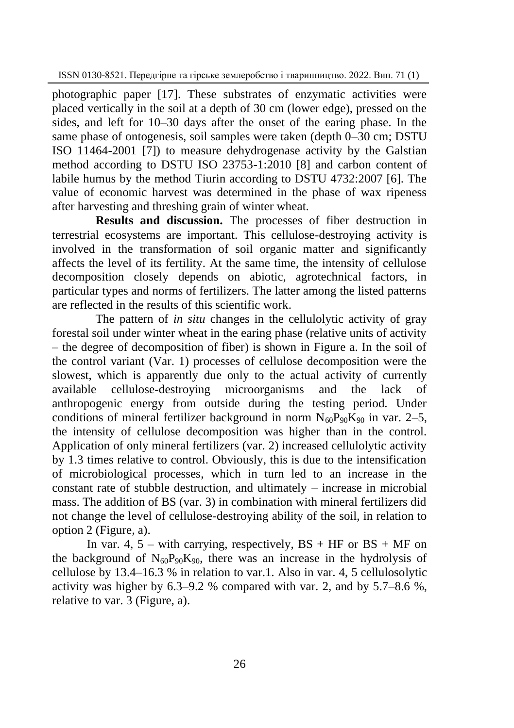photographic paper [17]. These substrates of enzymatic activities were placed vertically in the soil at a depth of 30 cm (lower edge), pressed on the sides, and left for 10‒30 days after the onset of the earing phase. In the same phase of ontogenesis, soil samples were taken (depth 0–30 cm; DSTU ISO 11464-2001 [7]) to measure dehydrogenase activity by the Galstian method according to DSTU ISO 23753-1:2010 [8] and carbon content of labile humus by the method Tiurin according to DSTU 4732:2007 [6]. The value of economic harvest was determined in the phase of wax ripeness after harvesting and threshing grain of winter wheat.

**Results and discussion.** The processes of fiber destruction in terrestrial ecosystems are important. This cellulose-destroying activity is involved in the transformation of soil organic matter and significantly affects the level of its fertility. At the same time, the intensity of cellulose decomposition closely depends on abiotic, agrotechnical factors, in particular types and norms of fertilizers. The latter among the listed patterns are reflected in the results of this scientific work.

The pattern of *in situ* changes in the cellulolytic activity of gray forestal soil under winter wheat in the earing phase (relative units of activity – the degree of decomposition of fiber) is shown in Figure a. In the soil of the control variant (Var. 1) processes of cellulose decomposition were the slowest, which is apparently due only to the actual activity of currently available cellulose-destroying microorganisms and the lack of anthropogenic energy from outside during the testing period. Under conditions of mineral fertilizer background in norm  $N_{60}P_{90}K_{90}$  in var. 2–5, the intensity of cellulose decomposition was higher than in the control. Application of only mineral fertilizers (var. 2) increased cellulolytic activity by 1.3 times relative to control. Obviously, this is due to the intensification of microbiological processes, which in turn led to an increase in the constant rate of stubble destruction, and ultimately – increase in microbial mass. The addition of BS (var. 3) in combination with mineral fertilizers did not change the level of cellulose-destroying ability of the soil, in relation to option 2 (Figure, a).

In var. 4,  $5 -$  with carrying, respectively,  $BS + HF$  or  $BS + MF$  on the background of  $N_{60}P_{90}K_{90}$ , there was an increase in the hydrolysis of cellulose by 13.4–16.3 % in relation to var.1. Also in var. 4, 5 cellulosolytic activity was higher by  $6.3-9.2$  % compared with var. 2, and by  $5.7-8.6$  %, relative to var. 3 (Figure, a).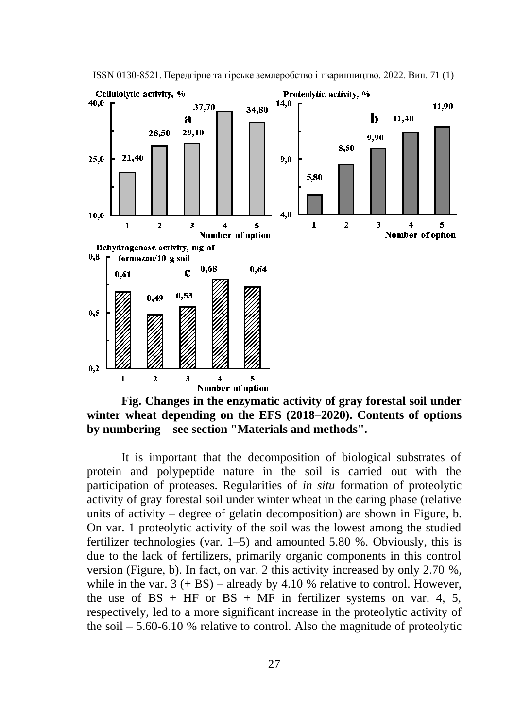

ISSN 0130-8521. Передгірне та гірське землеробство і тваринництво. 2022. Вип. 71 (1)

**Fig. Changes in the enzymatic activity of gray forestal soil under**  winter wheat depending on the EFS (2018–2020). Contents of options **by numbering – see section "Materials and methods".**

It is important that the decomposition of biological substrates of protein and polypeptide nature in the soil is carried out with the participation of proteases. Regularities of *in situ* formation of proteolytic activity of gray forestal soil under winter wheat in the earing phase (relative units of activity – degree of gelatin decomposition) are shown in Figure, b. On var. 1 proteolytic activity of the soil was the lowest among the studied fertilizer technologies (var. 1–5) and amounted 5.80 %. Obviously, this is due to the lack of fertilizers, primarily organic components in this control version (Figure, b). In fact, on var. 2 this activity increased by only 2.70 %, while in the var.  $3 (+ BS)$  – already by 4.10 % relative to control. However, the use of  $BS + HF$  or  $BS + MF$  in fertilizer systems on var. 4, 5, respectively, led to a more significant increase in the proteolytic activity of the soil – 5.60-6.10 % relative to control. Also the magnitude of proteolytic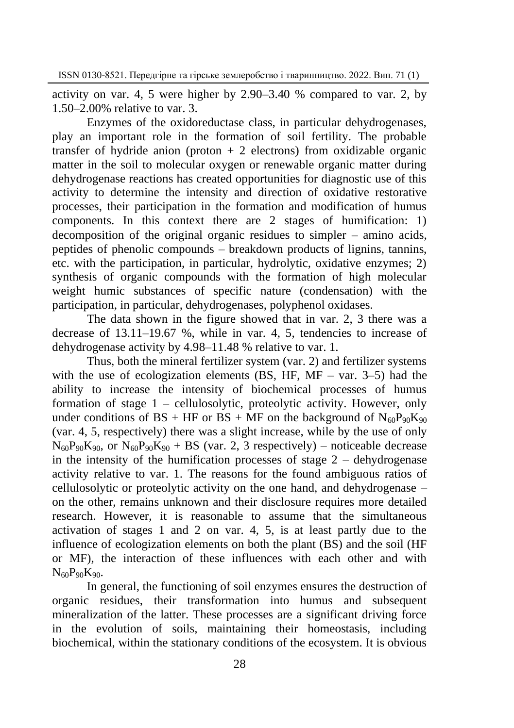activity on var. 4, 5 were higher by 2.90–3.40 % compared to var. 2, by 1.50–2.00% relative to var. 3.

Enzymes of the oxidoreductase class, in particular dehydrogenases, play an important role in the formation of soil fertility. The probable transfer of hydride anion (proton  $+ 2$  electrons) from oxidizable organic matter in the soil to molecular oxygen or renewable organic matter during dehydrogenase reactions has created opportunities for diagnostic use of this activity to determine the intensity and direction of oxidative restorative processes, their participation in the formation and modification of humus components. In this context there are 2 stages of humification: 1) decomposition of the original organic residues to simpler – amino acids, peptides of phenolic compounds – breakdown products of lignins, tannins, etc. with the participation, in particular, hydrolytic, oxidative enzymes; 2) synthesis of organic compounds with the formation of high molecular weight humic substances of specific nature (condensation) with the participation, in particular, dehydrogenases, polyphenol oxidases.

The data shown in the figure showed that in var. 2, 3 there was a decrease of 13.11–19.67 %, while in var. 4, 5, tendencies to increase of dehydrogenase activity by 4.98–11.48 % relative to var. 1.

Thus, both the mineral fertilizer system (var. 2) and fertilizer systems with the use of ecologization elements (BS, HF,  $MF - \text{var}$ , 3–5) had the ability to increase the intensity of biochemical processes of humus formation of stage 1 – cellulosolytic, proteolytic activity. However, only under conditions of BS + HF or BS + MF on the background of  $N_{60}P_{90}K_{90}$ (var. 4, 5, respectively) there was a slight increase, while by the use of only  $N_{60}P_{90}K_{90}$ , or  $N_{60}P_{90}K_{90}$  + BS (var. 2, 3 respectively) – noticeable decrease in the intensity of the humification processes of stage  $2$  – dehydrogenase activity relative to var. 1. The reasons for the found ambiguous ratios of cellulosolytic or proteolytic activity on the one hand, and dehydrogenase – on the other, remains unknown and their disclosure requires more detailed research. However, it is reasonable to assume that the simultaneous activation of stages 1 and 2 on var. 4, 5, is at least partly due to the influence of ecologization elements on both the plant (BS) and the soil (HF or MF), the interaction of these influences with each other and with  $N_{60}P_{90}K_{90}$ .

In general, the functioning of soil enzymes ensures the destruction of organic residues, their transformation into humus and subsequent mineralization of the latter. These processes are a significant driving force in the evolution of soils, maintaining their homeostasis, including biochemical, within the stationary conditions of the ecosystem. It is obvious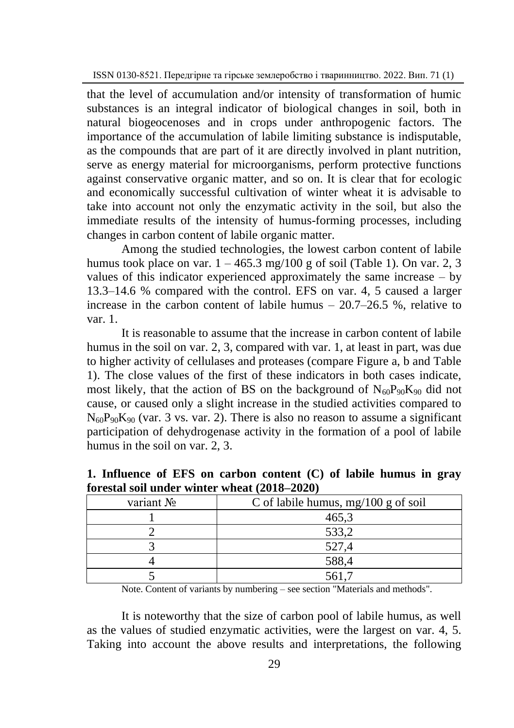that the level of accumulation and/or intensity of transformation of humic substances is an integral indicator of biological changes in soil, both in natural biogeocenoses and in crops under anthropogenic factors. The importance of the accumulation of labile limiting substance is indisputable, as the compounds that are part of it are directly involved in plant nutrition, serve as energy material for microorganisms, perform protective functions against conservative organic matter, and so on. It is clear that for ecologic and economically successful cultivation of winter wheat it is advisable to take into account not only the enzymatic activity in the soil, but also the immediate results of the intensity of humus-forming processes, including changes in carbon content of labile organic matter.

Among the studied technologies, the lowest carbon content of labile humus took place on var.  $1 - 465.3$  mg/100 g of soil (Table 1). On var. 2, 3 values of this indicator experienced approximately the same increase – by 13.3–14.6 % compared with the control. EFS on var. 4, 5 caused a larger increase in the carbon content of labile humus – 20.7–26.5 %, relative to var. 1.

It is reasonable to assume that the increase in carbon content of labile humus in the soil on var. 2, 3, compared with var. 1, at least in part, was due to higher activity of cellulases and proteases (compare Figure a, b and Table 1). The close values of the first of these indicators in both cases indicate, most likely, that the action of BS on the background of  $N_{60}P_{90}K_{90}$  did not cause, or caused only a slight increase in the studied activities compared to  $N_{60}P_{90}K_{90}$  (var. 3 vs. var. 2). There is also no reason to assume a significant participation of dehydrogenase activity in the formation of a pool of labile humus in the soil on var. 2, 3.

| variant No | C of labile humus, $mg/100$ g of soil |
|------------|---------------------------------------|
|            | 465,3                                 |
|            | 533,2                                 |
|            | 527,4                                 |
|            | 588,4                                 |
|            | 561.                                  |

**1. Influence of EFS on carbon content (C) of labile humus in gray forestal soil under winter wheat (2018–2020)** 

Note. Content of variants by numbering – see section "Materials and methods".

It is noteworthy that the size of carbon pool of labile humus, as well as the values of studied enzymatic activities, were the largest on var. 4, 5. Taking into account the above results and interpretations, the following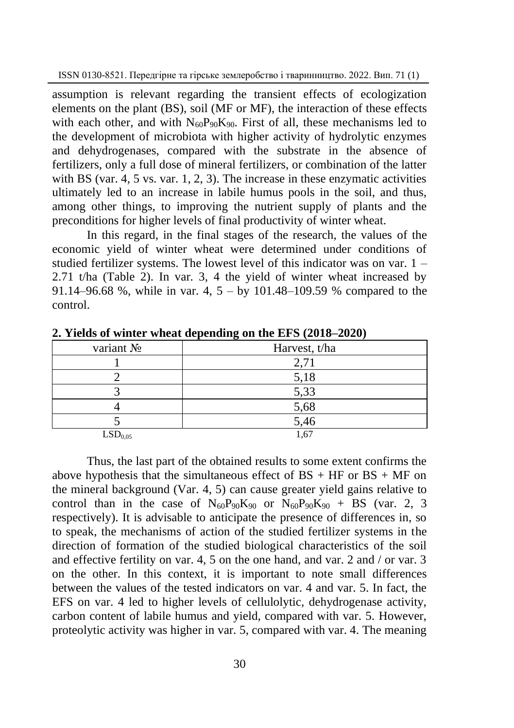assumption is relevant regarding the transient effects of ecologization elements on the plant (BS), soil (MF or MF), the interaction of these effects with each other, and with  $N_{60}P_{90}K_{90}$ . First of all, these mechanisms led to the development of microbiota with higher activity of hydrolytic enzymes and dehydrogenases, compared with the substrate in the absence of fertilizers, only a full dose of mineral fertilizers, or combination of the latter with BS (var. 4, 5 vs. var. 1, 2, 3). The increase in these enzymatic activities ultimately led to an increase in labile humus pools in the soil, and thus, among other things, to improving the nutrient supply of plants and the preconditions for higher levels of final productivity of winter wheat.

In this regard, in the final stages of the research, the values of the economic yield of winter wheat were determined under conditions of studied fertilizer systems. The lowest level of this indicator was on var. 1 – 2.71 t/ha (Table 2). In var. 3, 4 the yield of winter wheat increased by 91.14–96.68 %, while in var. 4, 5 – by 101.48–109.59 % compared to the control.

| variant No          | Harvest, t/ha |
|---------------------|---------------|
|                     | 2,71          |
|                     | 5,18          |
|                     | 5,33          |
|                     | 5,68          |
|                     | 5,46          |
| LSD <sub>0.05</sub> | 1,67          |

**2. Yields of winter wheat depending on the EFS (2018–2020)** 

Thus, the last part of the obtained results to some extent confirms the above hypothesis that the simultaneous effect of  $BS + HF$  or  $BS + MF$  on the mineral background (Var. 4, 5) can cause greater yield gains relative to control than in the case of  $N_{60}P_{90}K_{90}$  or  $N_{60}P_{90}K_{90}$  + BS (var. 2, 3 respectively). It is advisable to anticipate the presence of differences in, so to speak, the mechanisms of action of the studied fertilizer systems in the direction of formation of the studied biological characteristics of the soil and effective fertility on var. 4, 5 on the one hand, and var. 2 and / or var. 3 on the other. In this context, it is important to note small differences between the values of the tested indicators on var. 4 and var. 5. In fact, the EFS on var. 4 led to higher levels of cellulolytic, dehydrogenase activity, carbon content of labile humus and yield, compared with var. 5. However, proteolytic activity was higher in var. 5, compared with var. 4. The meaning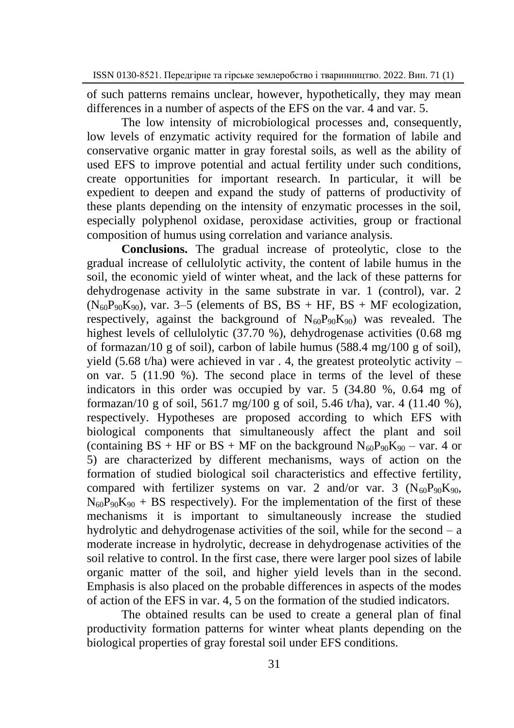of such patterns remains unclear, however, hypothetically, they may mean differences in a number of aspects of the EFS on the var. 4 and var. 5.

The low intensity of microbiological processes and, consequently, low levels of enzymatic activity required for the formation of labile and conservative organic matter in gray forestal soils, as well as the ability of used EFS to improve potential and actual fertility under such conditions, create opportunities for important research. In particular, it will be expedient to deepen and expand the study of patterns of productivity of these plants depending on the intensity of enzymatic processes in the soil, especially polyphenol oxidase, peroxidase activities, group or fractional composition of humus using correlation and variance analysis.

**Conclusions.** The gradual increase of proteolytic, close to the gradual increase of cellulolytic activity, the content of labile humus in the soil, the economic yield of winter wheat, and the lack of these patterns for dehydrogenase activity in the same substrate in var. 1 (control), var. 2  $(N_{60}P_{90}K_{90})$ , var. 3–5 (elements of BS, BS + HF, BS + MF ecologization, respectively, against the background of  $N_{60}P_{90}K_{90}$  was revealed. The highest levels of cellulolytic (37.70 %), dehydrogenase activities (0.68 mg of formazan/10 g of soil), carbon of labile humus (588.4 mg/100 g of soil), yield (5.68 t/ha) were achieved in var  $\alpha$ , 4, the greatest proteolytic activity – on var. 5 (11.90 %). The second place in terms of the level of these indicators in this order was occupied by var. 5 (34.80 %, 0.64 mg of formazan/10 g of soil, 561.7 mg/100 g of soil, 5.46 t/ha), var. 4 (11.40 %). respectively. Hypotheses are proposed according to which EFS with biological components that simultaneously affect the plant and soil (containing BS + HF or BS + MF on the background  $N_{60}P_{90}K_{90}$  – var. 4 or 5) are characterized by different mechanisms, ways of action on the formation of studied biological soil characteristics and effective fertility, compared with fertilizer systems on var. 2 and/or var. 3  $(N_{60}P_{90}K_{90}$ ,  $N_{60}P_{90}K_{90}$  + BS respectively). For the implementation of the first of these mechanisms it is important to simultaneously increase the studied hydrolytic and dehydrogenase activities of the soil, while for the second  $-$  a moderate increase in hydrolytic, decrease in dehydrogenase activities of the soil relative to control. In the first case, there were larger pool sizes of labile organic matter of the soil, and higher yield levels than in the second. Emphasis is also placed on the probable differences in aspects of the modes of action of the EFS in var. 4, 5 on the formation of the studied indicators.

The obtained results can be used to create a general plan of final productivity formation patterns for winter wheat plants depending on the biological properties of gray forestal soil under EFS conditions.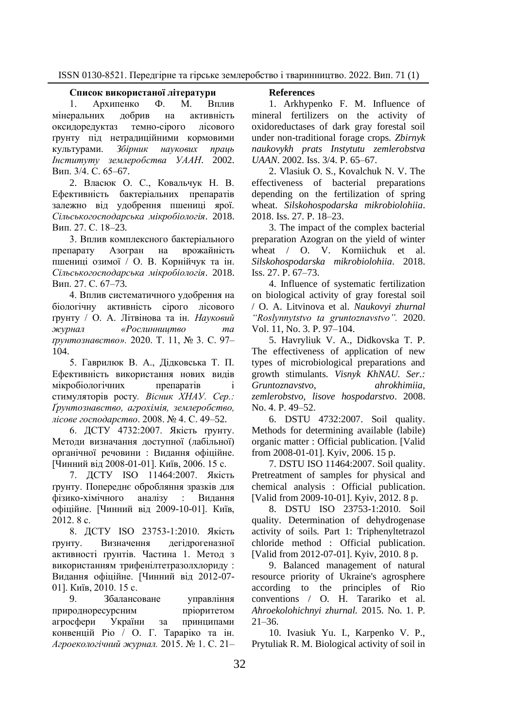#### **Список використаної літератури**

1. Архипенко Ф. М. Вплив мінеральних добрив на активність<br>оксилорелуктаз темно-сірого лісового оксидоредуктаз ґрунту під нетрадиційними кормовими культурами. *Збірник наукових праць Інституту землеробства УААН*. 2002. Вип. 3/4. С. 65–67.

2. Власюк О. С., Ковальчук Н. В. Ефективність бактеріальних препаратів залежно від удобрення пшениці ярої. *Сільськогосподарська мікробіологія*. 2018. Вип. 27. С. 18–23.

3. Вплив комплексного бактеріального препарату Азогран на врожайність пшениці озимої / О. В. Корнійчук та ін. *Сільськогосподарська мікробіологія*. 2018. Вип. 27. С. 67–73.

4. Вплив систематичного удобрення на біологічну активність сірого лісового ґрунту / О. А. Літвінова та ін. *Науковий журнал «Рослинництво та ґрунтознавство».* 2020. Т. 11, № 3. С. 97– 104.

5. Гаврилюк В. А., Дідковська Т. П. Ефективність використання нових видів мікробіологічних препаратів стимуляторів росту*. Вісник ХНАУ. Сер.: Ґрунтознавство, агрохімія, землеробство, лісове господарство*. 2008. № 4. С. 49–52.

6. ДСТУ 4732:2007. Якість ґрунту. Методи визначання доступної (лабільної) органічної речовини : Видання офіційне. [Чинний від 2008-01-01]. Київ, 2006. 15 с.

7. ДСТУ ISO 11464:2007. Якість ґрунту. Попереднє обробляння зразків для фізико-хімічного аналізу : Видання офіційне. [Чинний від 2009-10-01]. Київ, 2012. 8 с.

8. ДСТУ ISO 23753-1:2010. Якість ґрунту. Визначення дегідрогеназної активності ґрунтів. Частина 1. Метод з використанням трифенілтетразолхлориду : Видання офіційне. [Чинний від 2012-07- 01]. Київ, 2010. 15 с.

9. Збалансоване управління природноресурсним пріоритетом агросфери України за принципами конвенцій Ріо / О. Г. Тараріко та ін. *Агроекологічний журнал.* 2015. № 1. С. 21–

### **References**

1. Arkhypenko F. M. Influence of mineral fertilizers on the activity of oxidoreductases of dark gray forestal soil under non-traditional forage crops. *Zbirnyk naukovykh prats Instytutu zemlerobstva UAAN*. 2002. Iss. 3/4. P. 65–67.

2. Vlasiuk O. S., Kovalchuk N. V. The effectiveness of bacterial preparations depending on the fertilization of spring wheat. *Silskohospodarska mikrobiolohiia*. 2018. Iss. 27. P. 18–23.

3. The impact of the complex bacterial preparation Azogran on the yield of winter wheat / O. V. Korniichuk et al. *Silskohospodarska mikrobiolohiia*. 2018. Iss. 27. P. 67–73.

4. Influence of systematic fertilization on biological activity of gray forestal soil / O. A. Litvinova et al. *Naukovyi zhurnal "Roslynnytstvo ta gruntoznavstvo".* 2020. Vol. 11, No. 3. P. 97–104.

5. Havryliuk V. A., Didkovska T. P. The effectiveness of application of new types of microbiological preparations and growth stimulants*. Visnyk KhNAU. Ser.: Gruntoznavstvo, ahrokhimiia, zemlerobstvo, lisove hospodarstvo*. 2008. No. 4. P. 49–52.

6. DSTU 4732:2007. Soil quality. Methods for determining available (labile) organic matter : Official publication. [Valid from 2008-01-01]. Kyiv, 2006. 15 p.

7. DSTU ISO 11464:2007. Soil quality. Pretreatment of samples for physical and chemical analysis : Official publication. [Valid from 2009-10-01]. Kyiv, 2012. 8 p.

8. DSTU ISO 23753-1:2010. Soil quality. Determination of dehydrogenase activity of soils. Part 1: Triphenyltetrazol chloride method : Official publication. [Valid from 2012-07-01]. Kyiv, 2010. 8 p.

9. Balanced management of natural resource priority of Ukraine's agrosphere according to the principles of Rio conventions / O. H. Tarariko et al. *Ahroekolohichnyi zhurnal.* 2015. No. 1. P.  $21 - 36$ .

10. Ivasiuk Yu. I., Karpenko V. P., Prytuliak R. M. Biological activity of soil in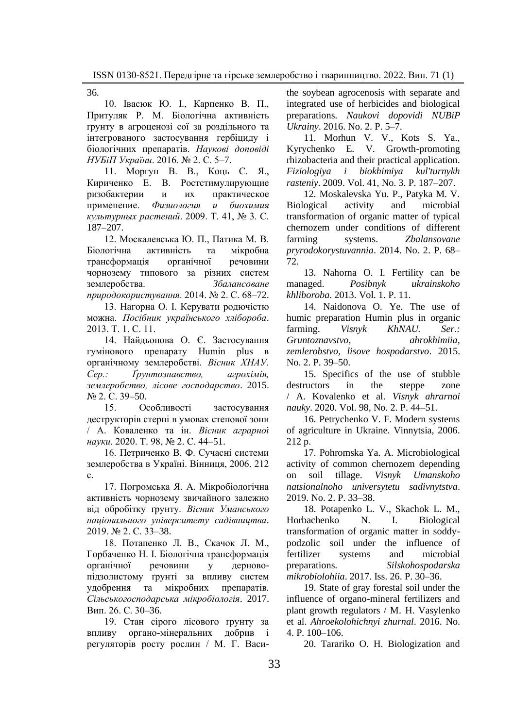36.

10. Івасюк Ю. І., Карпенко В. П., Притуляк Р. М. Біологічна активність ґрунту в агроценозі сої за роздільного та інтегрованого застосування гербіциду і біологічних препаратів. *Наукові доповіді НУБіП України*. 2016. № 2. С. 5–7.

11. Моргун В. В., Коць С. Я., Кириченко Е. В. Ростстимулирующие ризобактерии и их практическое применение. *Физиология и биохимия культурных растений*. 2009. Т. 41, № 3. С. 187–207.

12. Москалевська Ю. П., Патика М. В.<br>югічна активність та мікробна Біологічна активність та трансформація органічної речовини чорнозему типового за різних систем землеробства. *Збалансоване природокористування*. 2014. № 2. С. 68–72.

13. Нагорна О. І. Керувати родючістю можна. *Посібник українського хлібороба*. 2013. Т. 1. С. 11.

14. Найдьонова О. Є. Застосування гумінового препарату Humin plus в органічному землеробстві. *Вісник ХНАУ. Сер.: Ґрунтознавство, агрохімія, землеробство, лісове господарство*. 2015. № 2. С. 39–50.

15. Особливості застосування деструкторів стерні в умовах степової зони / А. Коваленко та ін. *Вісник аграрної науки*. 2020. Т. 98, № 2. С. 44–51.

16. Петриченко В. Ф. Сучасні системи землеробства в Україні. Вінниця, 2006. 212 с.

17. Погромська Я. А. Мікробіологічна активність чорнозему звичайного залежно від обробітку ґрунту. *Вісник Уманського національного університету садівництва*. 2019. № 2. С. 33–38.

18. Потапенко Л. В., Скачок Л. М., Горбаченко Н. І. Біологічна трансформація органічної речовини у дерновопідзолистому ґрунті за впливу систем удобрення та мікробних препаратів. *Сільськогосподарська мікробіологія*. 2017. Вип. 26. С. 30–36.

19. Стан сірого лісового ґрунту за впливу органо-мінеральних добрив і регуляторів росту рослин / М. Г. Васиthe soybean agrocenosis with separate and integrated use of herbicides and biological preparations. *Naukovi dopovidi NUBiP Ukrainy*. 2016. No. 2. P. 5–7.

11. Morhun V. V., Kots S. Ya., Kyrychenko E. V. Growth-promoting rhizobacteria and their practical application. *Fiziologiya i biokhimiya kul'turnykh rasteniy*. 2009. Vol. 41, No. 3. P. 187–207.

12. Moskalevska Yu. P., Patyka M. V. Biological activity and microbial transformation of organic matter of typical chernozem under conditions of different farming systems. *Zbalansovane pryrodokorystuvannia*. 2014. No. 2. P. 68– 72.

13. Nahorna O. I. Fertility can be managed. *Posibnyk ukrainskoho khliboroba*. 2013. Vol. 1. P. 11.

14. Naidonova O. Ye. The use of humic preparation Humin plus in organic farming. *Visnyk KhNAU. Ser.: Gruntoznavstvo, ahrokhimiia, zemlerobstvo, lisove hospodarstvo*. 2015. No. 2. P. 39–50.

15. Specifics of the use of stubble destructors in the steppe zone / A. Kovalenko et al. *Visnyk ahrarnoi nauky*. 2020. Vol. 98, No. 2. P. 44–51.

16. Petrychenko V. F. Modern systems of agriculture in Ukraine. Vinnytsia, 2006. 212 p.

17. Pohromska Ya. A. Microbiological activity of common chernozem depending on soil tillage. *Visnyk Umanskoho natsionalnoho universytetu sadivnytstva*. 2019. No. 2. P. 33–38.

18. Potapenko L. V., Skachok L. M., Horbachenko N. I. Biological transformation of organic matter in soddypodzolic soil under the influence of fertilizer systems and microbial preparations. *Silskohospodarska mikrobiolohiia*. 2017. Iss. 26. P. 30–36.

19. State of gray forestal soil under the influence of organo-mineral fertilizers and plant growth regulators / M. H. Vasylenko et al. *Ahroekolohichnyi zhurnal*. 2016. No. 4. P. 100–106.

20. Tarariko O. H. Biologization and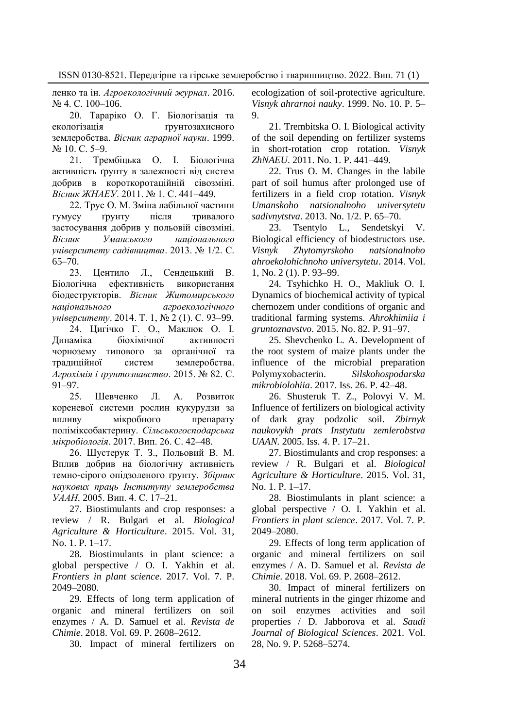ленко та ін. *Агроекологічний журнал*. 2016. № 4. С. 100–106.

20. Тараріко О. Г. Біологізація та екологізація ґрунтозахисного землеробства. *Вісник аграрної науки*. 1999. № 10. С. 5–9.

21. Трембіцька О. І. Біологічна активність ґрунту в залежності від систем добрив в короткоротаційній сівозміні. *Вісник ЖНАЕУ*. 2011. № 1. С. 441–449.

22. Трус О. М. Зміна лабільної частини гумусу ґрунту після тривалого застосування добрив у польовій сівозміні. *Вісник Уманського національного університету садівництва*. 2013. № 1/2. С. 65–70.

23. Центило Л., Сендецький В. Біологічна ефективність використання біодеструкторів. *Вісник Житомирського національного агроекологічного університету*. 2014. Т. 1, № 2 (1). С. 93–99.

24. Цигічко Г. О., Маклюк О. І. Динаміка біохімічної активності чорнозему типового за органічної та традиційної систем землеробства. *Агрохімія і ґрунтознавство*. 2015. № 82. С. 91–97.

25. Шевченко Л. А. Розвиток кореневої системи рослин кукурудзи за впливу мікробного препарату поліміксобактерину. *Сільськогосподарська мікробіологія*. 2017. Вип. 26. С. 42–48.

26. Шустерук Т. З., Польовий В. М. Вплив добрив на біологічну активність темно-сірого опідзоленого ґрунту. *Збірник наукових праць Інституту землеробства УААН.* 2005. Вип. 4. С. 17–21.

27. Biostimulants and crop responses: a review / R. Bulgari et al. *Biological Agriculture & Horticulture*. 2015. Vol. 31, No. 1. P. 1–17.

28. Biostimulants in plant science: a global perspective / O. I. Yakhin et al. *Frontiers in plant science*. 2017. Vol. 7. P. 2049–2080.

29. Effects of long term application of organic and mineral fertilizers on soil enzymes / A. D. Samuel et al. *Revista de Chimie*. 2018. Vol. 69. P. 2608–2612.

30. Impact of mineral fertilizers on

ecologization of soil-protective agriculture. *Visnyk ahrarnoi nauky*. 1999. No. 10. P. 5– 9.

21. Trembitska O. I. Biological activity of the soil depending on fertilizer systems in short-rotation crop rotation. *Visnyk ZhNAEU*. 2011. No. 1. P. 441–449.

22. Trus O. M. Changes in the labile part of soil humus after prolonged use of fertilizers in a field crop rotation. *Visnyk Umanskoho natsionalnoho universytetu sadivnytstva*. 2013. No. 1/2. P. 65–70.

23. Tsentylo L., Sendetskyi V. Biological efficiency of biodestructors use. *Visnyk Zhytomyrskoho natsionalnoho ahroekolohichnoho universytetu*. 2014. Vol. 1, No. 2 (1). P. 93–99.

24. Tsyhichko H. O., Makliuk O. I. Dynamics of biochemical activity of typical chernozem under conditions of organic and traditional farming systems. *Ahrokhimiia i gruntoznavstvo*. 2015. No. 82. P. 91–97.

25. Shevchenko L. A. Development of the root system of maize plants under the influence of the microbial preparation Polymyxobacterin. *Silskohospodarska mikrobiolohiia*. 2017. Iss. 26. P. 42–48.

26. Shusteruk T. Z., Polovyi V. M. Influence of fertilizers on biological activity of dark gray podzolic soil. *Zbirnyk naukovykh prats Instytutu zemlerobstva UAAN.* 2005. Iss. 4. P. 17–21.

27. Biostimulants and crop responses: a review / R. Bulgari et al. *Biological Agriculture & Horticulture*. 2015. Vol. 31, No. 1. P. 1–17.

28. Biostimulants in plant science: a global perspective / O. I. Yakhin et al. *Frontiers in plant science*. 2017. Vol. 7. P. 2049–2080.

29. Effects of long term application of organic and mineral fertilizers on soil enzymes / A. D. Samuel et al. *Revista de Chimie*. 2018. Vol. 69. P. 2608–2612.

30. Impact of mineral fertilizers on mineral nutrients in the ginger rhizome and on soil enzymes activities and soil properties / D. Jabborova et al. *Saudi Journal of Biological Sciences*. 2021. Vol. 28, No. 9. P. 5268–5274.